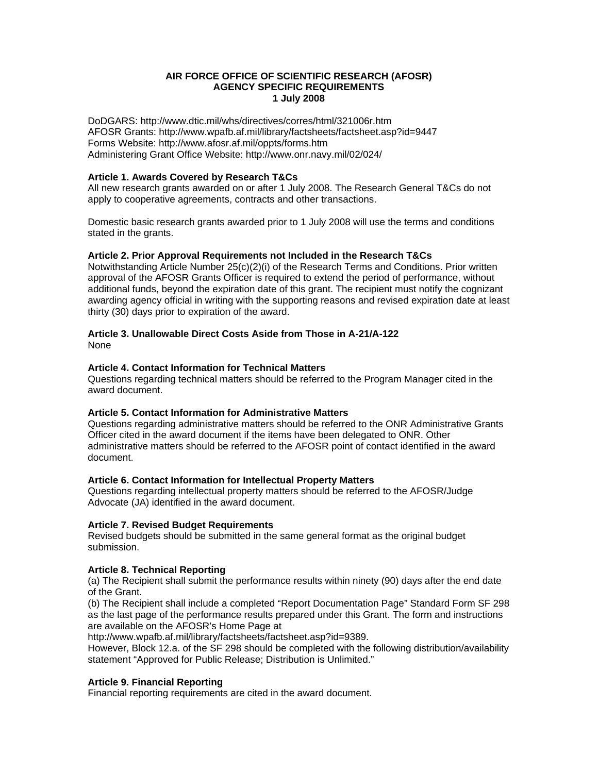## **AIR FORCE OFFICE OF SCIENTIFIC RESEARCH (AFOSR) AGENCY SPECIFIC REQUIREMENTS 1 July 2008**

DoDGARS: http://www.dtic.mil/whs/directives/corres/html/321006r.htm AFOSR Grants: http://www.wpafb.af.mil/library/factsheets/factsheet.asp?id=9447 Forms Website: http://www.afosr.af.mil/oppts/forms.htm Administering Grant Office Website: http://www.onr.navy.mil/02/024/

#### **Article 1. Awards Covered by Research T&Cs**

All new research grants awarded on or after 1 July 2008. The Research General T&Cs do not apply to cooperative agreements, contracts and other transactions.

Domestic basic research grants awarded prior to 1 July 2008 will use the terms and conditions stated in the grants.

#### **Article 2. Prior Approval Requirements not Included in the Research T&Cs**

Notwithstanding Article Number 25(c)(2)(i) of the Research Terms and Conditions. Prior written approval of the AFOSR Grants Officer is required to extend the period of performance, without additional funds, beyond the expiration date of this grant. The recipient must notify the cognizant awarding agency official in writing with the supporting reasons and revised expiration date at least thirty (30) days prior to expiration of the award.

#### None **Article 3. Unallowable Direct Costs Aside from Those in A-21/A-122**

# **Article 4. Contact Information for Technical Matters**

Questions regarding technical matters should be referred to the Program Manager cited in the award document.

## **Article 5. Contact Information for Administrative Matters**

Questions regarding administrative matters should be referred to the ONR Administrative Grants Officer cited in the award document if the items have been delegated to ONR. Other administrative matters should be referred to the AFOSR point of contact identified in the award document.

## **Article 6. Contact Information for Intellectual Property Matters**

Questions regarding intellectual property matters should be referred to the AFOSR/Judge Advocate (JA) identified in the award document.

#### **Article 7. Revised Budget Requirements**

Revised budgets should be submitted in the same general format as the original budget submission.

## **Article 8. Technical Reporting**

(a) The Recipient shall submit the performance results within ninety (90) days after the end date of the Grant.

(b) The Recipient shall include a completed "Report Documentation Page" Standard Form SF 298 as the last page of the performance results prepared under this Grant. The form and instructions are available on the AFOSR's Home Page at

http://www.wpafb.af.mil/library/factsheets/factsheet.asp?id=9389.

However, Block 12.a. of the SF 298 should be completed with the following distribution/availability statement "Approved for Public Release; Distribution is Unlimited."

## **Article 9. Financial Reporting**

Financial reporting requirements are cited in the award document.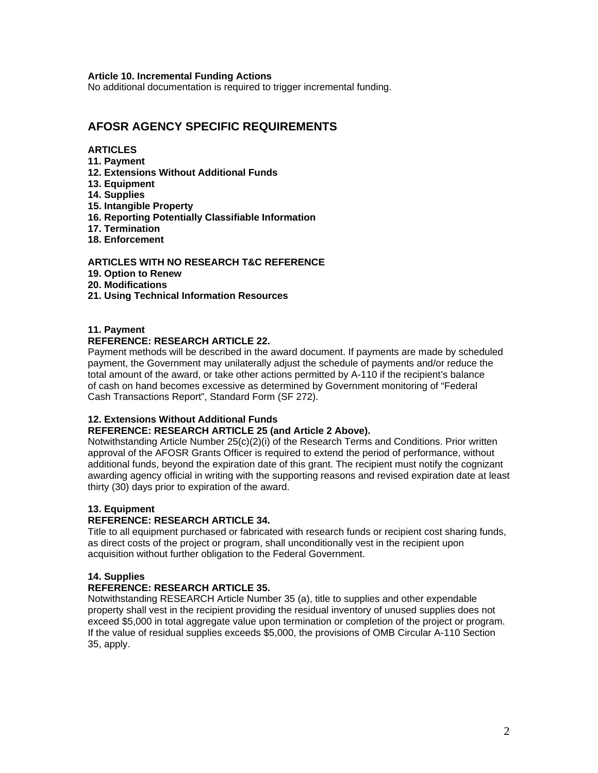#### **Article 10. Incremental Funding Actions**

No additional documentation is required to trigger incremental funding.

# **AFOSR AGENCY SPECIFIC REQUIREMENTS**

## **ARTICLES**

- **11. Payment**
- **12. Extensions Without Additional Funds**
- **13. Equipment**
- **14. Supplies**
- **15. Intangible Property**
- **16. Reporting Potentially Classifiable Information**
- **17. Termination**
- **18. Enforcement**

#### **ARTICLES WITH NO RESEARCH T&C REFERENCE**

- **19. Option to Renew**
- **20. Modifications**
- **21. Using Technical Information Resources**

#### **11. Payment**

#### **REFERENCE: RESEARCH ARTICLE 22.**

payment, the Government may unilaterally adjust the schedule of payments and/or reduce the Payment methods will be described in the award document. If payments are made by scheduled total amount of the award, or take other actions permitted by A-110 if the recipient's balance of cash on hand becomes excessive as determined by Government monitoring of "Federal Cash Transactions Report", Standard Form (SF 272).

#### **12. Extensions Without Additional Funds**

#### **REFERENCE: RESEARCH ARTICLE 25 (and Article 2 Above).**

Notwithstanding Article Number 25(c)(2)(i) of the Research Terms and Conditions. Prior written approval of the AFOSR Grants Officer is required to extend the period of performance, without additional funds, beyond the expiration date of this grant. The recipient must notify the cognizant awarding agency official in writing with the supporting reasons and revised expiration date at least thirty (30) days prior to expiration of the award.

#### **13. Equipment**

#### **REFERENCE: RESEARCH ARTICLE 34.**

Title to all equipment purchased or fabricated with research funds or recipient cost sharing funds, as direct costs of the project or program, shall unconditionally vest in the recipient upon acquisition without further obligation to the Federal Government.

#### **14. Supplies**

#### **REFERENCE: RESEARCH ARTICLE 35.**

Notwithstanding RESEARCH Article Number 35 (a), title to supplies and other expendable property shall vest in the recipient providing the residual inventory of unused supplies does not exceed \$5,000 in total aggregate value upon termination or completion of the project or program. If the value of residual supplies exceeds \$5,000, the provisions of OMB Circular A-110 Section 35, apply.